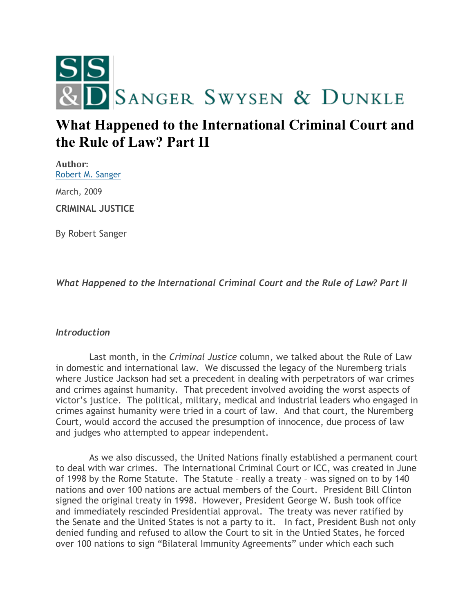

# **What Happened to the International Criminal Court and the Rule of Law? Part II**

**Author:** [Robert M. Sanger](http://sangerswysen.com/robert-m-sanger)

March, 2009

**CRIMINAL JUSTICE**

By Robert Sanger

*What Happened to the International Criminal Court and the Rule of Law? Part II*

### *Introduction*

 Last month, in the *Criminal Justice* column, we talked about the Rule of Law in domestic and international law. We discussed the legacy of the Nuremberg trials where Justice Jackson had set a precedent in dealing with perpetrators of war crimes and crimes against humanity. That precedent involved avoiding the worst aspects of victor's justice. The political, military, medical and industrial leaders who engaged in crimes against humanity were tried in a court of law. And that court, the Nuremberg Court, would accord the accused the presumption of innocence, due process of law and judges who attempted to appear independent.

 As we also discussed, the United Nations finally established a permanent court to deal with war crimes. The International Criminal Court or ICC, was created in June of 1998 by the Rome Statute. The Statute – really a treaty – was signed on to by 140 nations and over 100 nations are actual members of the Court. President Bill Clinton signed the original treaty in 1998. However, President George W. Bush took office and immediately rescinded Presidential approval. The treaty was never ratified by the Senate and the United States is not a party to it. In fact, President Bush not only denied funding and refused to allow the Court to sit in the Untied States, he forced over 100 nations to sign "Bilateral Immunity Agreements" under which each such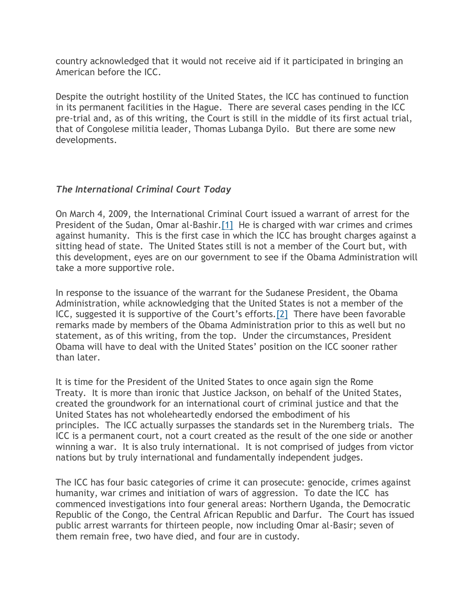country acknowledged that it would not receive aid if it participated in bringing an American before the ICC.

Despite the outright hostility of the United States, the ICC has continued to function in its permanent facilities in the Hague. There are several cases pending in the ICC pre-trial and, as of this writing, the Court is still in the middle of its first actual trial, that of Congolese militia leader, Thomas Lubanga Dyilo. But there are some new developments.

# *The International Criminal Court Today*

On March 4, 2009, the International Criminal Court issued a warrant of arrest for the President of the Sudan, Omar al-Bashir[.\[1\]](#page-3-0) He is charged with war crimes and crimes against humanity. This is the first case in which the ICC has brought charges against a sitting head of state. The United States still is not a member of the Court but, with this development, eyes are on our government to see if the Obama Administration will take a more supportive role.

In response to the issuance of the warrant for the Sudanese President, the Obama Administration, while acknowledging that the United States is not a member of the ICC, suggested it is supportive of the Court's efforts.[\[2\]](#page-3-1) There have been favorable remarks made by members of the Obama Administration prior to this as well but no statement, as of this writing, from the top. Under the circumstances, President Obama will have to deal with the United States' position on the ICC sooner rather than later.

It is time for the President of the United States to once again sign the Rome Treaty. It is more than ironic that Justice Jackson, on behalf of the United States, created the groundwork for an international court of criminal justice and that the United States has not wholeheartedly endorsed the embodiment of his principles. The ICC actually surpasses the standards set in the Nuremberg trials. The ICC is a permanent court, not a court created as the result of the one side or another winning a war. It is also truly international. It is not comprised of judges from victor nations but by truly international and fundamentally independent judges.

The ICC has four basic categories of crime it can prosecute: genocide, crimes against humanity, war crimes and initiation of wars of aggression. To date the ICC has commenced investigations into four general areas: Northern Uganda, the Democratic Republic of the Congo, the Central African Republic and Darfur. The Court has issued public arrest warrants for thirteen people, now including Omar al-Basir; seven of them remain free, two have died, and four are in custody.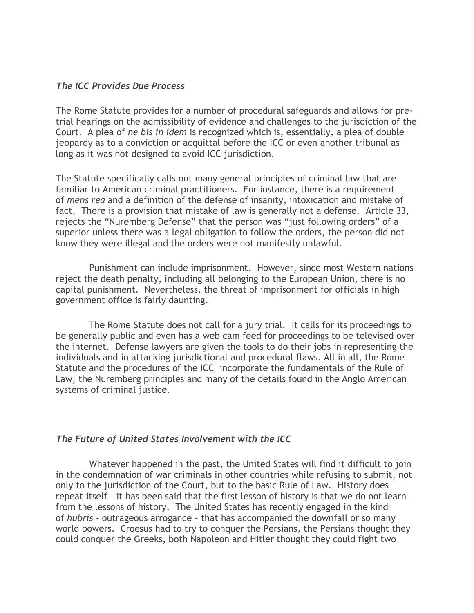#### *The ICC Provides Due Process*

The Rome Statute provides for a number of procedural safeguards and allows for pretrial hearings on the admissibility of evidence and challenges to the jurisdiction of the Court. A plea of *ne bis in idem* is recognized which is, essentially, a plea of double jeopardy as to a conviction or acquittal before the ICC or even another tribunal as long as it was not designed to avoid ICC jurisdiction.

The Statute specifically calls out many general principles of criminal law that are familiar to American criminal practitioners. For instance, there is a requirement of *mens rea* and a definition of the defense of insanity, intoxication and mistake of fact. There is a provision that mistake of law is generally not a defense. Article 33, rejects the "Nuremberg Defense" that the person was "just following orders" of a superior unless there was a legal obligation to follow the orders, the person did not know they were illegal and the orders were not manifestly unlawful.

 Punishment can include imprisonment. However, since most Western nations reject the death penalty, including all belonging to the European Union, there is no capital punishment. Nevertheless, the threat of imprisonment for officials in high government office is fairly daunting.

 The Rome Statute does not call for a jury trial. It calls for its proceedings to be generally public and even has a web cam feed for proceedings to be televised over the internet. Defense lawyers are given the tools to do their jobs in representing the individuals and in attacking jurisdictional and procedural flaws. All in all, the Rome Statute and the procedures of the ICC incorporate the fundamentals of the Rule of Law, the Nuremberg principles and many of the details found in the Anglo American systems of criminal justice.

### *The Future of United States Involvement with the ICC*

 Whatever happened in the past, the United States will find it difficult to join in the condemnation of war criminals in other countries while refusing to submit, not only to the jurisdiction of the Court, but to the basic Rule of Law. History does repeat itself – it has been said that the first lesson of history is that we do not learn from the lessons of history. The United States has recently engaged in the kind of *hubris* – outrageous arrogance – that has accompanied the downfall or so many world powers. Croesus had to try to conquer the Persians, the Persians thought they could conquer the Greeks, both Napoleon and Hitler thought they could fight two